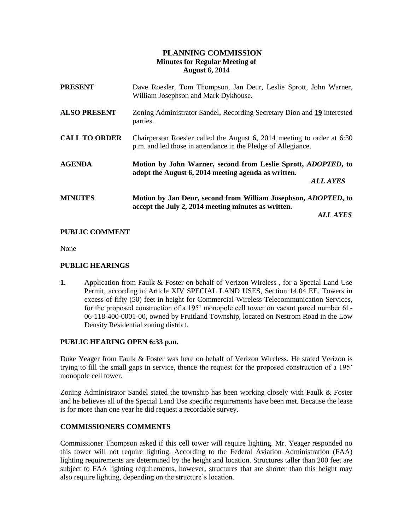# **PLANNING COMMISSION Minutes for Regular Meeting of August 6, 2014**

| <b>PRESENT</b>       | Dave Roesler, Tom Thompson, Jan Deur, Leslie Sprott, John Warner,<br>William Josephson and Mark Dykhouse.                                       |
|----------------------|-------------------------------------------------------------------------------------------------------------------------------------------------|
| <b>ALSO PRESENT</b>  | Zoning Administrator Sandel, Recording Secretary Dion and 19 interested<br>parties.                                                             |
| <b>CALL TO ORDER</b> | Chairperson Roesler called the August 6, 2014 meeting to order at 6:30<br>p.m. and led those in attendance in the Pledge of Allegiance.         |
| <b>AGENDA</b>        | Motion by John Warner, second from Leslie Sprott, <i>ADOPTED</i> , to<br>adopt the August 6, 2014 meeting agenda as written.<br><b>ALL AYES</b> |
| <b>MINUTES</b>       | Motion by Jan Deur, second from William Josephson, <i>ADOPTED</i> , to<br>accept the July 2, 2014 meeting minutes as written.                   |
|                      | <i><b>ALL AYES</b></i>                                                                                                                          |

## **PUBLIC COMMENT**

None

### **PUBLIC HEARINGS**

**1.** Application from Faulk & Foster on behalf of Verizon Wireless , for a Special Land Use Permit, according to Article XIV SPECIAL LAND USES, Section 14.04 EE. Towers in excess of fifty (50) feet in height for Commercial Wireless Telecommunication Services, for the proposed construction of a 195' monopole cell tower on vacant parcel number 61- 06-118-400-0001-00, owned by Fruitland Township, located on Nestrom Road in the Low Density Residential zoning district.

## **PUBLIC HEARING OPEN 6:33 p.m.**

Duke Yeager from Faulk & Foster was here on behalf of Verizon Wireless. He stated Verizon is trying to fill the small gaps in service, thence the request for the proposed construction of a 195' monopole cell tower.

Zoning Administrator Sandel stated the township has been working closely with Faulk & Foster and he believes all of the Special Land Use specific requirements have been met. Because the lease is for more than one year he did request a recordable survey.

### **COMMISSIONERS COMMENTS**

Commissioner Thompson asked if this cell tower will require lighting. Mr. Yeager responded no this tower will not require lighting. According to the Federal Aviation Administration (FAA) lighting requirements are determined by the height and location. Structures taller than 200 feet are subject to FAA lighting requirements, however, structures that are shorter than this height may also require lighting, depending on the structure's location.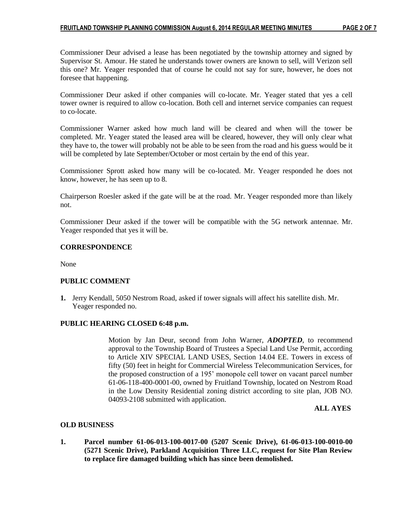Commissioner Deur advised a lease has been negotiated by the township attorney and signed by Supervisor St. Amour. He stated he understands tower owners are known to sell, will Verizon sell this one? Mr. Yeager responded that of course he could not say for sure, however, he does not foresee that happening.

Commissioner Deur asked if other companies will co-locate. Mr. Yeager stated that yes a cell tower owner is required to allow co-location. Both cell and internet service companies can request to co-locate.

Commissioner Warner asked how much land will be cleared and when will the tower be completed. Mr. Yeager stated the leased area will be cleared, however, they will only clear what they have to, the tower will probably not be able to be seen from the road and his guess would be it will be completed by late September/October or most certain by the end of this year.

Commissioner Sprott asked how many will be co-located. Mr. Yeager responded he does not know, however, he has seen up to 8.

Chairperson Roesler asked if the gate will be at the road. Mr. Yeager responded more than likely not.

Commissioner Deur asked if the tower will be compatible with the 5G network antennae. Mr. Yeager responded that yes it will be.

#### **CORRESPONDENCE**

None

### **PUBLIC COMMENT**

**1.** Jerry Kendall, 5050 Nestrom Road, asked if tower signals will affect his satellite dish. Mr. Yeager responded no.

### **PUBLIC HEARING CLOSED 6:48 p.m.**

Motion by Jan Deur, second from John Warner, *ADOPTED*, to recommend approval to the Township Board of Trustees a Special Land Use Permit, according to Article XIV SPECIAL LAND USES, Section 14.04 EE. Towers in excess of fifty (50) feet in height for Commercial Wireless Telecommunication Services, for the proposed construction of a 195' monopole cell tower on vacant parcel number 61-06-118-400-0001-00, owned by Fruitland Township, located on Nestrom Road in the Low Density Residential zoning district according to site plan, JOB NO. 04093-2108 submitted with application.

 **ALL AYES**

### **OLD BUSINESS**

**1. Parcel number 61-06-013-100-0017-00 (5207 Scenic Drive), 61-06-013-100-0010-00 (5271 Scenic Drive), Parkland Acquisition Three LLC, request for Site Plan Review to replace fire damaged building which has since been demolished.**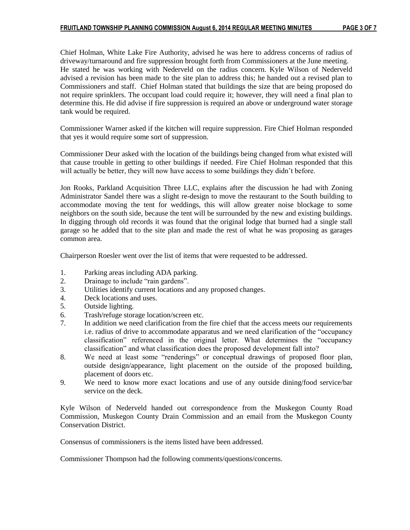Chief Holman, White Lake Fire Authority, advised he was here to address concerns of radius of driveway/turnaround and fire suppression brought forth from Commissioners at the June meeting. He stated he was working with Nederveld on the radius concern. Kyle Wilson of Nederveld advised a revision has been made to the site plan to address this; he handed out a revised plan to Commissioners and staff. Chief Holman stated that buildings the size that are being proposed do not require sprinklers. The occupant load could require it; however, they will need a final plan to determine this. He did advise if fire suppression is required an above or underground water storage tank would be required.

Commissioner Warner asked if the kitchen will require suppression. Fire Chief Holman responded that yes it would require some sort of suppression.

Commissioner Deur asked with the location of the buildings being changed from what existed will that cause trouble in getting to other buildings if needed. Fire Chief Holman responded that this will actually be better, they will now have access to some buildings they didn't before.

Jon Rooks, Parkland Acquisition Three LLC, explains after the discussion he had with Zoning Administrator Sandel there was a slight re-design to move the restaurant to the South building to accommodate moving the tent for weddings, this will allow greater noise blockage to some neighbors on the south side, because the tent will be surrounded by the new and existing buildings. In digging through old records it was found that the original lodge that burned had a single stall garage so he added that to the site plan and made the rest of what he was proposing as garages common area.

Chairperson Roesler went over the list of items that were requested to be addressed.

- 1. Parking areas including ADA parking.
- 2. Drainage to include "rain gardens".
- 3. Utilities identify current locations and any proposed changes.
- 4. Deck locations and uses.
- 5. Outside lighting.
- 6. Trash/refuge storage location/screen etc.
- 7. In addition we need clarification from the fire chief that the access meets our requirements i.e. radius of drive to accommodate apparatus and we need clarification of the "occupancy classification" referenced in the original letter. What determines the "occupancy classification" and what classification does the proposed development fall into?
- 8. We need at least some "renderings" or conceptual drawings of proposed floor plan, outside design/appearance, light placement on the outside of the proposed building, placement of doors etc.
- 9. We need to know more exact locations and use of any outside dining/food service/bar service on the deck.

Kyle Wilson of Nederveld handed out correspondence from the Muskegon County Road Commission, Muskegon County Drain Commission and an email from the Muskegon County Conservation District.

Consensus of commissioners is the items listed have been addressed.

Commissioner Thompson had the following comments/questions/concerns.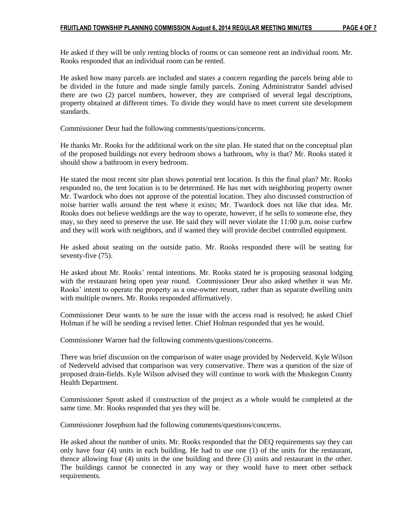He asked if they will be only renting blocks of rooms or can someone rent an individual room. Mr. Rooks responded that an individual room can be rented.

He asked how many parcels are included and states a concern regarding the parcels being able to be divided in the future and made single family parcels. Zoning Administrator Sandel advised there are two (2) parcel numbers, however, they are comprised of several legal descriptions, property obtained at different times. To divide they would have to meet current site development standards.

Commissioner Deur had the following comments/questions/concerns.

He thanks Mr. Rooks for the additional work on the site plan. He stated that on the conceptual plan of the proposed buildings not every bedroom shows a bathroom, why is that? Mr. Rooks stated it should show a bathroom in every bedroom.

He stated the most recent site plan shows potential tent location. Is this the final plan? Mr. Rooks responded no, the tent location is to be determined. He has met with neighboring property owner Mr. Twardock who does not approve of the potential location. They also discussed construction of noise barrier walls around the tent where it exists; Mr. Twardock does not like that idea. Mr. Rooks does not believe weddings are the way to operate, however, if he sells to someone else, they may, so they need to preserve the use. He said they will never violate the 11:00 p.m. noise curfew and they will work with neighbors, and if wanted they will provide decibel controlled equipment.

He asked about seating on the outside patio. Mr. Rooks responded there will be seating for seventy-five (75).

He asked about Mr. Rooks' rental intentions. Mr. Rooks stated he is proposing seasonal lodging with the restaurant being open year round. Commissioner Deur also asked whether it was Mr. Rooks' intent to operate the property as a one-owner resort, rather than as separate dwelling units with multiple owners. Mr. Rooks responded affirmatively.

Commissioner Deur wants to be sure the issue with the access road is resolved; he asked Chief Holman if he will be sending a revised letter. Chief Holman responded that yes he would.

Commissioner Warner had the following comments/questions/concerns.

There was brief discussion on the comparison of water usage provided by Nederveld. Kyle Wilson of Nederveld advised that comparison was very conservative. There was a question of the size of proposed drain-fields. Kyle Wilson advised they will continue to work with the Muskegon County Health Department.

Commissioner Sprott asked if construction of the project as a whole would be completed at the same time. Mr. Rooks responded that yes they will be.

Commissioner Josephson had the following comments/questions/concerns.

He asked about the number of units. Mr. Rooks responded that the DEQ requirements say they can only have four (4) units in each building. He had to use one (1) of the units for the restaurant, thence allowing four (4) units in the one building and three (3) units and restaurant in the other. The buildings cannot be connected in any way or they would have to meet other setback requirements.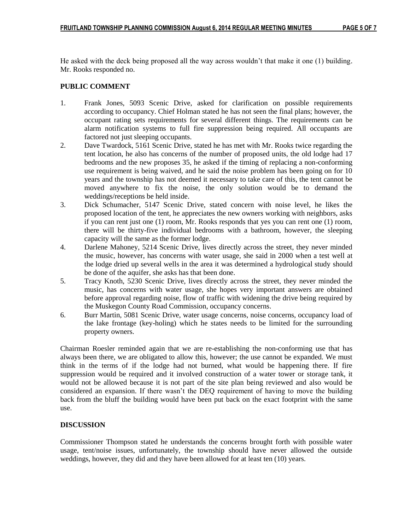He asked with the deck being proposed all the way across wouldn't that make it one (1) building. Mr. Rooks responded no.

# **PUBLIC COMMENT**

- 1. Frank Jones, 5093 Scenic Drive, asked for clarification on possible requirements according to occupancy. Chief Holman stated he has not seen the final plans; however, the occupant rating sets requirements for several different things. The requirements can be alarm notification systems to full fire suppression being required. All occupants are factored not just sleeping occupants.
- 2. Dave Twardock, 5161 Scenic Drive, stated he has met with Mr. Rooks twice regarding the tent location, he also has concerns of the number of proposed units, the old lodge had 17 bedrooms and the new proposes 35, he asked if the timing of replacing a non-conforming use requirement is being waived, and he said the noise problem has been going on for 10 years and the township has not deemed it necessary to take care of this, the tent cannot be moved anywhere to fix the noise, the only solution would be to demand the weddings/receptions be held inside.
- 3. Dick Schumacher, 5147 Scenic Drive, stated concern with noise level, he likes the proposed location of the tent, he appreciates the new owners working with neighbors, asks if you can rent just one (1) room, Mr. Rooks responds that yes you can rent one (1) room, there will be thirty-five individual bedrooms with a bathroom, however, the sleeping capacity will the same as the former lodge.
- 4. Darlene Mahoney, 5214 Scenic Drive, lives directly across the street, they never minded the music, however, has concerns with water usage, she said in 2000 when a test well at the lodge dried up several wells in the area it was determined a hydrological study should be done of the aquifer, she asks has that been done.
- 5. Tracy Knoth, 5230 Scenic Drive, lives directly across the street, they never minded the music, has concerns with water usage, she hopes very important answers are obtained before approval regarding noise, flow of traffic with widening the drive being required by the Muskegon County Road Commission, occupancy concerns.
- 6. Burr Martin, 5081 Scenic Drive, water usage concerns, noise concerns, occupancy load of the lake frontage (key-holing) which he states needs to be limited for the surrounding property owners.

Chairman Roesler reminded again that we are re-establishing the non-conforming use that has always been there, we are obligated to allow this, however; the use cannot be expanded. We must think in the terms of if the lodge had not burned, what would be happening there. If fire suppression would be required and it involved construction of a water tower or storage tank, it would not be allowed because it is not part of the site plan being reviewed and also would be considered an expansion. If there wasn't the DEQ requirement of having to move the building back from the bluff the building would have been put back on the exact footprint with the same use.

# **DISCUSSION**

Commissioner Thompson stated he understands the concerns brought forth with possible water usage, tent/noise issues, unfortunately, the township should have never allowed the outside weddings, however, they did and they have been allowed for at least ten (10) years.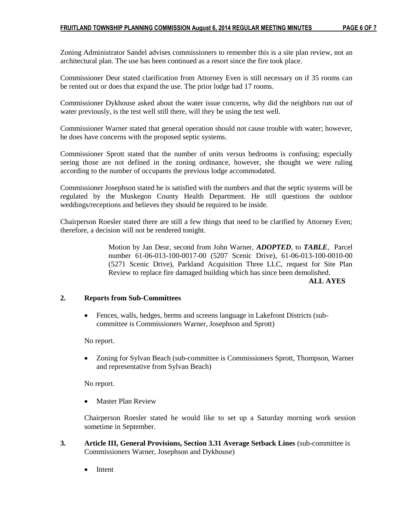Zoning Administrator Sandel advises commissioners to remember this is a site plan review, not an architectural plan. The use has been continued as a resort since the fire took place.

Commissioner Deur stated clarification from Attorney Even is still necessary on if 35 rooms can be rented out or does that expand the use. The prior lodge had 17 rooms.

Commissioner Dykhouse asked about the water issue concerns, why did the neighbors run out of water previously, is the test well still there, will they be using the test well.

Commissioner Warner stated that general operation should not cause trouble with water; however, he does have concerns with the proposed septic systems.

Commissioner Sprott stated that the number of units versus bedrooms is confusing; especially seeing those are not defined in the zoning ordinance, however, she thought we were ruling according to the number of occupants the previous lodge accommodated.

Commissioner Josephson stated he is satisfied with the numbers and that the septic systems will be regulated by the Muskegon County Health Department. He still questions the outdoor weddings/receptions and believes they should be required to be inside.

Chairperson Roesler stated there are still a few things that need to be clarified by Attorney Even; therefore, a decision will not be rendered tonight.

> Motion by Jan Deur, second from John Warner, *ADOPTED*, to *TABLE*, Parcel number 61-06-013-100-0017-00 (5207 Scenic Drive), 61-06-013-100-0010-00 (5271 Scenic Drive), Parkland Acquisition Three LLC, request for Site Plan Review to replace fire damaged building which has since been demolished.

#### **ALL AYES**

### **2. Reports from Sub-Committees**

 Fences, walls, hedges, berms and screens language in Lakefront Districts (subcommittee is Commissioners Warner, Josephson and Sprott)

#### No report.

 Zoning for Sylvan Beach (sub-committee is Commissioners Sprott, Thompson, Warner and representative from Sylvan Beach)

No report.

Master Plan Review

Chairperson Roesler stated he would like to set up a Saturday morning work session sometime in September.

- **3. Article III, General Provisions, Section 3.31 Average Setback Lines** (sub-committee is Commissioners Warner, Josephson and Dykhouse)
	- Intent